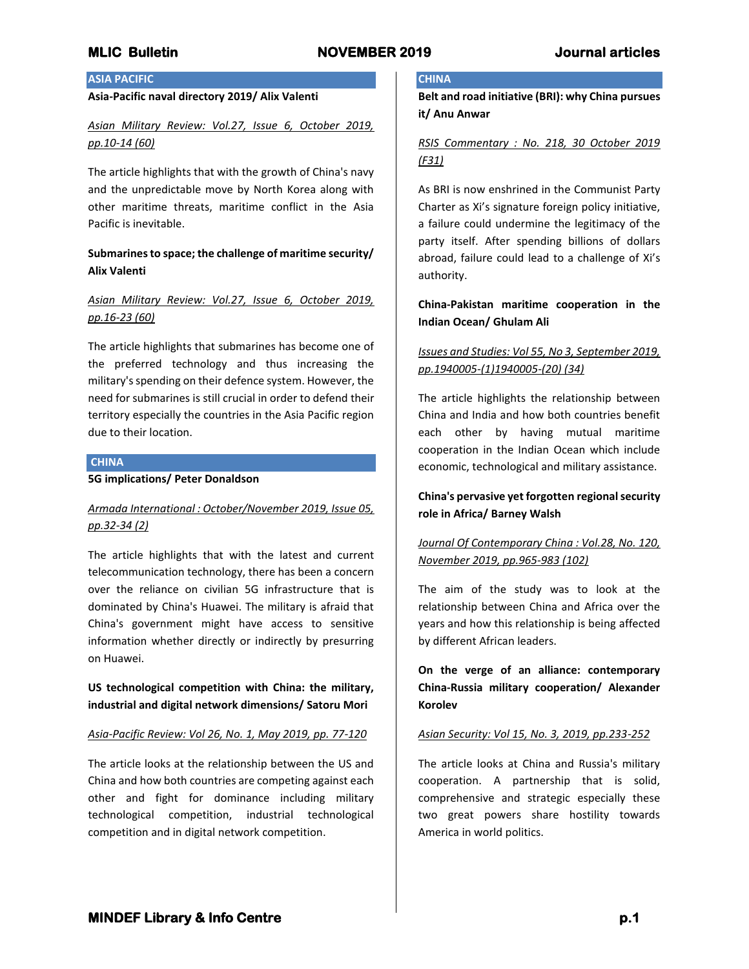# **MLIC Bulletin NOVEMBER 2019 Journal articles**

#### **ASIA PACIFIC**

#### **Asia-Pacific naval directory 2019/ Alix Valenti**

# *Asian Military Review: Vol.27, Issue 6, October 2019, pp.10-14 (60)*

The article highlights that with the growth of China's navy and the unpredictable move by North Korea along with other maritime threats, maritime conflict in the Asia Pacific is inevitable.

# **Submarines to space; the challenge of maritime security/ Alix Valenti**

# *Asian Military Review: Vol.27, Issue 6, October 2019, pp.16-23 (60)*

The article highlights that submarines has become one of the preferred technology and thus increasing the military's spending on their defence system. However, the need for submarines is still crucial in order to defend their territory especially the countries in the Asia Pacific region due to their location.

#### **CHINA**

### **5G implications/ Peter Donaldson**

# *Armada International : October/November 2019, Issue 05, pp.32-34 (2)*

The article highlights that with the latest and current telecommunication technology, there has been a concern over the reliance on civilian 5G infrastructure that is dominated by China's Huawei. The military is afraid that China's government might have access to sensitive information whether directly or indirectly by presurring on Huawei.

**US technological competition with China: the military, industrial and digital network dimensions/ Satoru Mori**

#### *Asia-Pacific Review: Vol 26, No. 1, May 2019, pp. 77-120*

The article looks at the relationship between the US and China and how both countries are competing against each other and fight for dominance including military technological competition, industrial technological competition and in digital network competition.

#### **CHINA**

**Belt and road initiative (BRI): why China pursues it/ Anu Anwar**

## *RSIS Commentary : No. 218, 30 October 2019 (F31)*

As BRI is now enshrined in the Communist Party Charter as Xi's signature foreign policy initiative, a failure could undermine the legitimacy of the party itself. After spending billions of dollars abroad, failure could lead to a challenge of Xi's authority.

## **China-Pakistan maritime cooperation in the Indian Ocean/ Ghulam Ali**

# *Issues and Studies: Vol 55, No 3, September 2019, pp.1940005-(1)1940005-(20) (34)*

The article highlights the relationship between China and India and how both countries benefit each other by having mutual maritime cooperation in the Indian Ocean which include economic, technological and military assistance.

# **China's pervasive yet forgotten regional security role in Africa/ Barney Walsh**

# *Journal Of Contemporary China : Vol.28, No. 120, November 2019, pp.965-983 (102)*

The aim of the study was to look at the relationship between China and Africa over the years and how this relationship is being affected by different African leaders.

**On the verge of an alliance: contemporary China-Russia military cooperation/ Alexander Korolev**

#### *Asian Security: Vol 15, No. 3, 2019, pp.233-252*

The article looks at China and Russia's military cooperation. A partnership that is solid, comprehensive and strategic especially these two great powers share hostility towards America in world politics.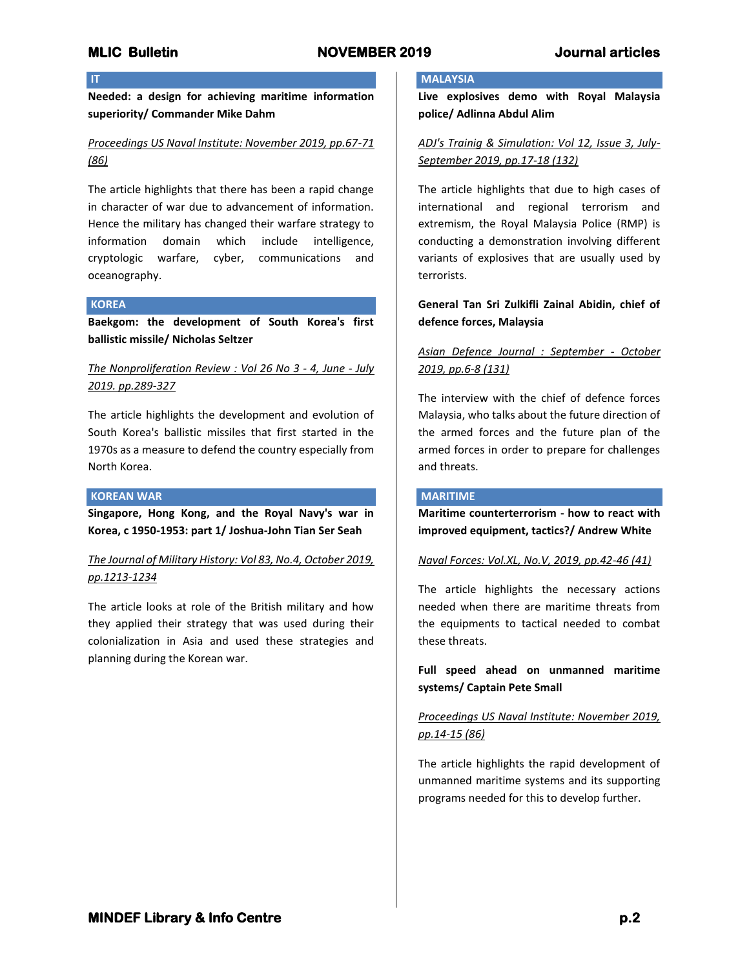# **MLIC Bulletin NOVEMBER 2019 Journal articles**

# **IT**

**Needed: a design for achieving maritime information superiority/ Commander Mike Dahm**

# *Proceedings US Naval Institute: November 2019, pp.67-71 (86)*

The article highlights that there has been a rapid change in character of war due to advancement of information. Hence the military has changed their warfare strategy to information domain which include intelligence, cryptologic warfare, cyber, communications and oceanography.

## **KOREA**

**Baekgom: the development of South Korea's first ballistic missile/ Nicholas Seltzer**

## *The Nonproliferation Review : Vol 26 No 3 - 4, June - July 2019. pp.289-327*

The article highlights the development and evolution of South Korea's ballistic missiles that first started in the 1970s as a measure to defend the country especially from North Korea.

### **KOREAN WAR**

**Singapore, Hong Kong, and the Royal Navy's war in Korea, c 1950-1953: part 1/ Joshua-John Tian Ser Seah**

# *The Journal of Military History: Vol 83, No.4, October 2019, pp.1213-1234*

The article looks at role of the British military and how they applied their strategy that was used during their colonialization in Asia and used these strategies and planning during the Korean war.

### **MALAYSIA**

**Live explosives demo with Royal Malaysia police/ Adlinna Abdul Alim**

# *ADJ's Trainig & Simulation: Vol 12, Issue 3, July-September 2019, pp.17-18 (132)*

The article highlights that due to high cases of international and regional terrorism and extremism, the Royal Malaysia Police (RMP) is conducting a demonstration involving different variants of explosives that are usually used by terrorists.

## **General Tan Sri Zulkifli Zainal Abidin, chief of defence forces, Malaysia**

# *Asian Defence Journal : September - October 2019, pp.6-8 (131)*

The interview with the chief of defence forces Malaysia, who talks about the future direction of the armed forces and the future plan of the armed forces in order to prepare for challenges and threats.

#### **MARITIME**

**Maritime counterterrorism - how to react with improved equipment, tactics?/ Andrew White**

#### *Naval Forces: Vol.XL, No.V, 2019, pp.42-46 (41)*

The article highlights the necessary actions needed when there are maritime threats from the equipments to tactical needed to combat these threats.

**Full speed ahead on unmanned maritime systems/ Captain Pete Small**

# *Proceedings US Naval Institute: November 2019, pp.14-15 (86)*

The article highlights the rapid development of unmanned maritime systems and its supporting programs needed for this to develop further.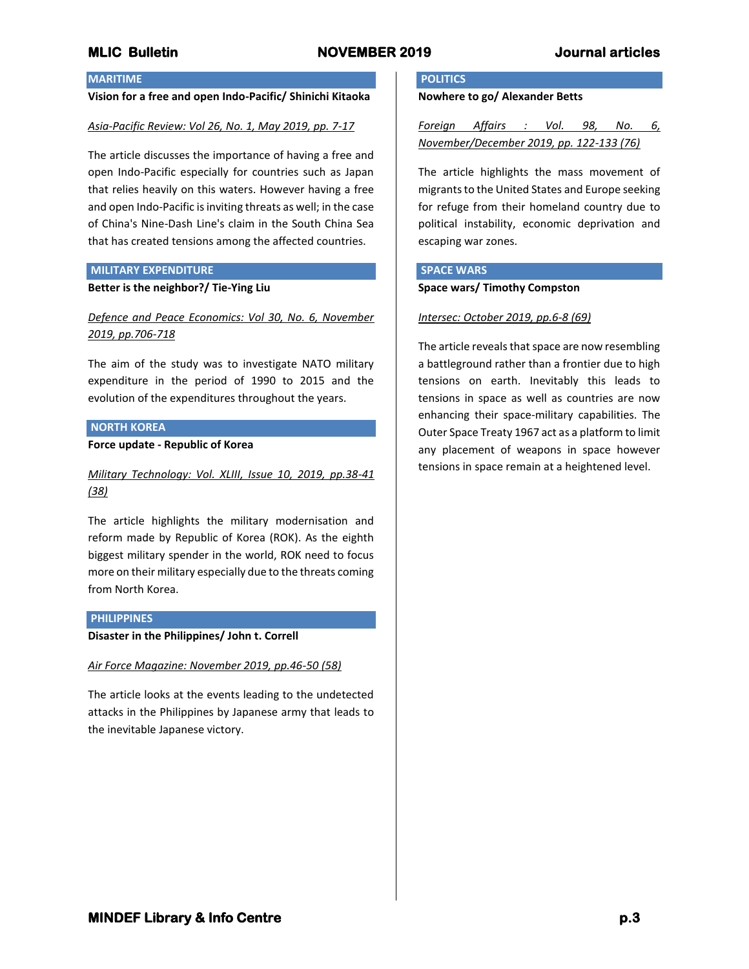# **MLIC Bulletin NOVEMBER 2019 Journal articles**

#### **MARITIME**

#### **Vision for a free and open Indo-Pacific/ Shinichi Kitaoka**

#### *Asia-Pacific Review: Vol 26, No. 1, May 2019, pp. 7-17*

The article discusses the importance of having a free and open Indo-Pacific especially for countries such as Japan that relies heavily on this waters. However having a free and open Indo-Pacific is inviting threats as well; in the case of China's Nine-Dash Line's claim in the South China Sea that has created tensions among the affected countries.

#### **MILITARY EXPENDITURE**

## **Better is the neighbor?/ Tie-Ying Liu**

*Defence and Peace Economics: Vol 30, No. 6, November 2019, pp.706-718*

The aim of the study was to investigate NATO military expenditure in the period of 1990 to 2015 and the evolution of the expenditures throughout the years.

#### **NORTH KOREA**

#### **Force update - Republic of Korea**

*Military Technology: Vol. XLIII, Issue 10, 2019, pp.38-41 (38)*

The article highlights the military modernisation and reform made by Republic of Korea (ROK). As the eighth biggest military spender in the world, ROK need to focus more on their military especially due to the threats coming from North Korea.

#### **PHILIPPINES**

#### **Disaster in the Philippines/ John t. Correll**

## *Air Force Magazine: November 2019, pp.46-50 (58)*

The article looks at the events leading to the undetected attacks in the Philippines by Japanese army that leads to the inevitable Japanese victory.

### **POLITICS**

#### **Nowhere to go/ Alexander Betts**

*Foreign Affairs : Vol. 98, No. 6, November/December 2019, pp. 122-133 (76)*

The article highlights the mass movement of migrants to the United States and Europe seeking for refuge from their homeland country due to political instability, economic deprivation and escaping war zones.

### **SPACE WARS**

#### **Space wars/ Timothy Compston**

#### *Intersec: October 2019, pp.6-8 (69)*

The article reveals that space are now resembling a battleground rather than a frontier due to high tensions on earth. Inevitably this leads to tensions in space as well as countries are now enhancing their space-military capabilities. The Outer Space Treaty 1967 act as a platform to limit any placement of weapons in space however tensions in space remain at a heightened level.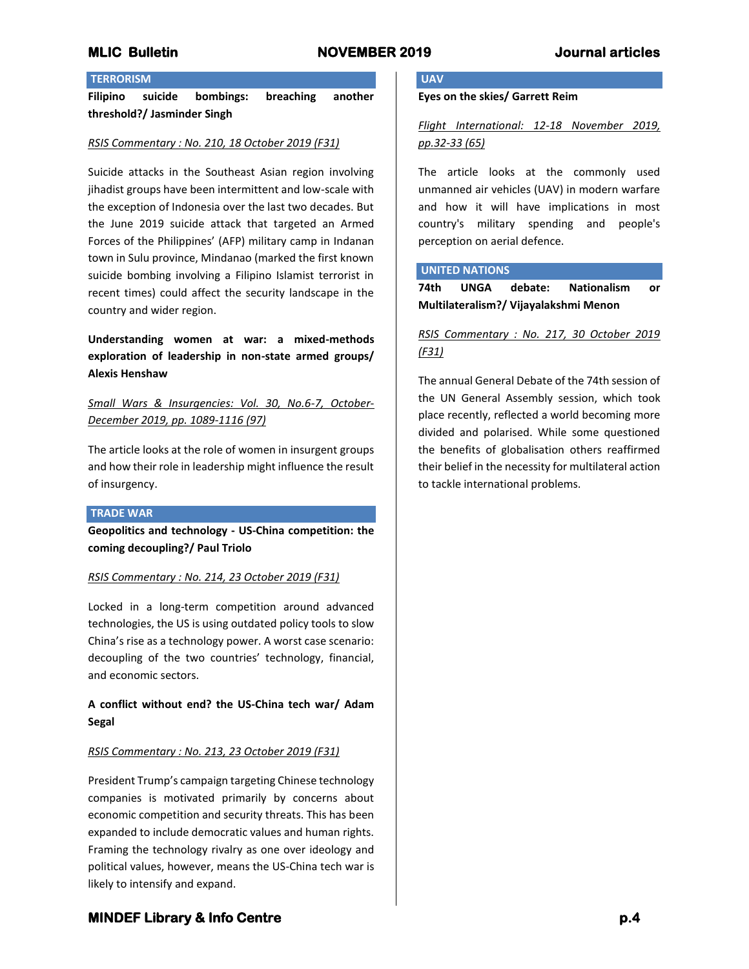### **TERRORISM**

**Filipino suicide bombings: breaching another threshold?/ Jasminder Singh**

#### *RSIS Commentary : No. 210, 18 October 2019 (F31)*

Suicide attacks in the Southeast Asian region involving jihadist groups have been intermittent and low-scale with the exception of Indonesia over the last two decades. But the June 2019 suicide attack that targeted an Armed Forces of the Philippines' (AFP) military camp in Indanan town in Sulu province, Mindanao (marked the first known suicide bombing involving a Filipino Islamist terrorist in recent times) could affect the security landscape in the country and wider region.

**Understanding women at war: a mixed-methods exploration of leadership in non-state armed groups/ Alexis Henshaw**

*Small Wars & Insurgencies: Vol. 30, No.6-7, October-December 2019, pp. 1089-1116 (97)*

The article looks at the role of women in insurgent groups and how their role in leadership might influence the result of insurgency.

#### **TRADE WAR**

**Geopolitics and technology - US-China competition: the coming decoupling?/ Paul Triolo**

#### *RSIS Commentary : No. 214, 23 October 2019 (F31)*

Locked in a long-term competition around advanced technologies, the US is using outdated policy tools to slow China's rise as a technology power. A worst case scenario: decoupling of the two countries' technology, financial, and economic sectors.

# **A conflict without end? the US-China tech war/ Adam Segal**

## *RSIS Commentary : No. 213, 23 October 2019 (F31)*

President Trump's campaign targeting Chinese technology companies is motivated primarily by concerns about economic competition and security threats. This has been expanded to include democratic values and human rights. Framing the technology rivalry as one over ideology and political values, however, means the US-China tech war is likely to intensify and expand.

#### **UAV**

**Eyes on the skies/ Garrett Reim**

# *Flight International: 12-18 November 2019, pp.32-33 (65)*

The article looks at the commonly used unmanned air vehicles (UAV) in modern warfare and how it will have implications in most country's military spending and people's perception on aerial defence.

#### **UNITED NATIONS**

**74th UNGA debate: Nationalism or Multilateralism?/ Vijayalakshmi Menon**

# *RSIS Commentary : No. 217, 30 October 2019 (F31)*

The annual General Debate of the 74th session of the UN General Assembly session, which took place recently, reflected a world becoming more divided and polarised. While some questioned the benefits of globalisation others reaffirmed their belief in the necessity for multilateral action to tackle international problems.

# **MINDEF Library & Info Centre p.4**